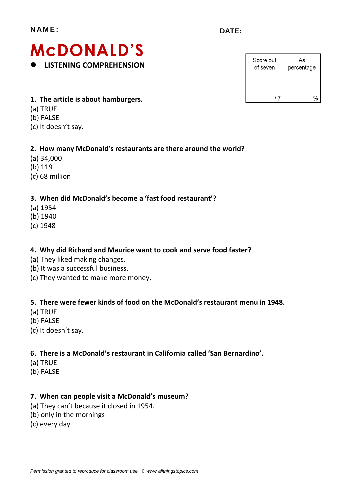# **McDONALD'S LISTENING COMPREHENSION**

| Score out<br>of seven | As<br>percentage |
|-----------------------|------------------|
|                       |                  |
|                       |                  |

- **1. The article is about hamburgers.**
- (a) TRUE
- (b) FALSE
- (c) It doesn't say.

### **2. How many McDonald's restaurants are there around the world?**

- (a) 34,000
- (b) 119
- (c) 68 million

## **3. When did McDonald's become a 'fast food restaurant'?**

- (a) 1954
- (b) 1940
- (c) 1948

### **4. Why did Richard and Maurice want to cook and serve food faster?**

- (a) They liked making changes.
- (b) It was a successful business.
- (c) They wanted to make more money.

### **5. There were fewer kinds of food on the McDonald's restaurant menu in 1948.**

- (a) TRUE
- (b) FALSE
- (c) It doesn't say.

### **6. There is a McDonald's restaurant in California called 'San Bernardino'.**

- (a) TRUE
- (b) FALSE

### **7. When can people visit a McDonald's museum?**

- (a) They can't because it closed in 1954.
- (b) only in the mornings
- (c) every day